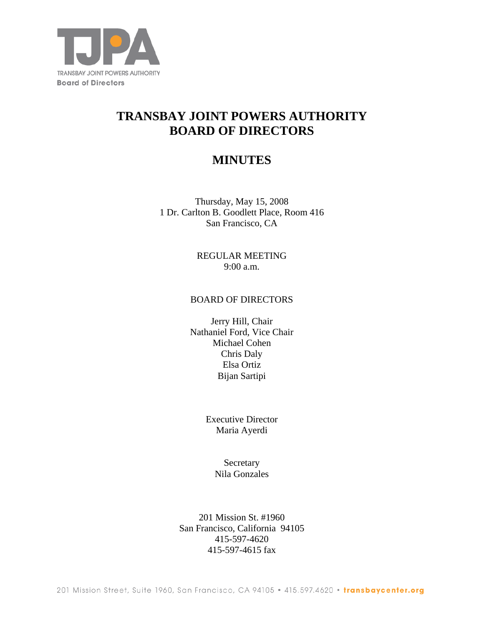

# **TRANSBAY JOINT POWERS AUTHORITY BOARD OF DIRECTORS**

## **MINUTES**

Thursday, May 15, 2008 1 Dr. Carlton B. Goodlett Place, Room 416 San Francisco, CA

> REGULAR MEETING 9:00 a.m.

#### BOARD OF DIRECTORS

Jerry Hill, Chair Nathaniel Ford, Vice Chair Michael Cohen Chris Daly Elsa Ortiz Bijan Sartipi

> Executive Director Maria Ayerdi

> > **Secretary** Nila Gonzales

201 Mission St. #1960 San Francisco, California 94105 415-597-4620 415-597-4615 fax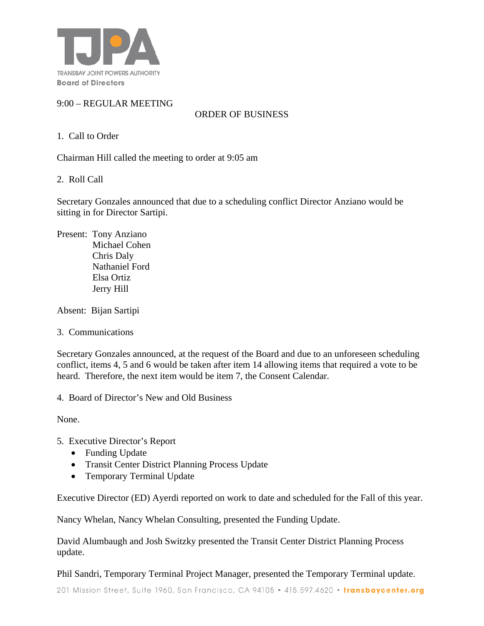

## 9:00 – REGULAR MEETING

ORDER OF BUSINESS

## 1. Call to Order

Chairman Hill called the meeting to order at 9:05 am

2. Roll Call

Secretary Gonzales announced that due to a scheduling conflict Director Anziano would be sitting in for Director Sartipi.

Present: Tony Anziano Michael Cohen Chris Daly Nathaniel Ford Elsa Ortiz Jerry Hill

Absent: Bijan Sartipi

3. Communications

Secretary Gonzales announced, at the request of the Board and due to an unforeseen scheduling conflict, items 4, 5 and 6 would be taken after item 14 allowing items that required a vote to be heard. Therefore, the next item would be item 7, the Consent Calendar.

4. Board of Director's New and Old Business

None.

- 5. Executive Director's Report
	- Funding Update
	- Transit Center District Planning Process Update
	- Temporary Terminal Update

Executive Director (ED) Ayerdi reported on work to date and scheduled for the Fall of this year.

Nancy Whelan, Nancy Whelan Consulting, presented the Funding Update.

David Alumbaugh and Josh Switzky presented the Transit Center District Planning Process update.

Phil Sandri, Temporary Terminal Project Manager, presented the Temporary Terminal update.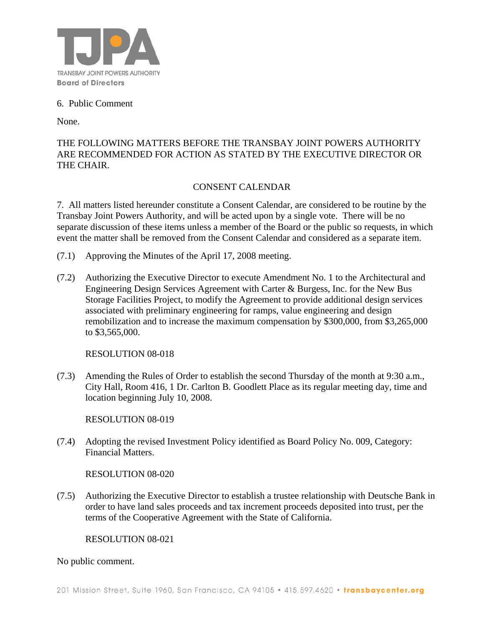

## 6. Public Comment

None.

## THE FOLLOWING MATTERS BEFORE THE TRANSBAY JOINT POWERS AUTHORITY ARE RECOMMENDED FOR ACTION AS STATED BY THE EXECUTIVE DIRECTOR OR THE CHAIR.

## CONSENT CALENDAR

7. All matters listed hereunder constitute a Consent Calendar, are considered to be routine by the Transbay Joint Powers Authority, and will be acted upon by a single vote. There will be no separate discussion of these items unless a member of the Board or the public so requests, in which event the matter shall be removed from the Consent Calendar and considered as a separate item.

- (7.1) Approving the Minutes of the April 17, 2008 meeting.
- (7.2) Authorizing the Executive Director to execute Amendment No. 1 to the Architectural and Engineering Design Services Agreement with Carter & Burgess, Inc. for the New Bus Storage Facilities Project, to modify the Agreement to provide additional design services associated with preliminary engineering for ramps, value engineering and design remobilization and to increase the maximum compensation by \$300,000, from \$3,265,000 to \$3,565,000.

RESOLUTION 08-018

(7.3) Amending the Rules of Order to establish the second Thursday of the month at 9:30 a.m., City Hall, Room 416, 1 Dr. Carlton B. Goodlett Place as its regular meeting day, time and location beginning July 10, 2008.

RESOLUTION 08-019

(7.4) Adopting the revised Investment Policy identified as Board Policy No. 009, Category: Financial Matters.

RESOLUTION 08-020

(7.5) Authorizing the Executive Director to establish a trustee relationship with Deutsche Bank in order to have land sales proceeds and tax increment proceeds deposited into trust, per the terms of the Cooperative Agreement with the State of California.

RESOLUTION 08-021

No public comment.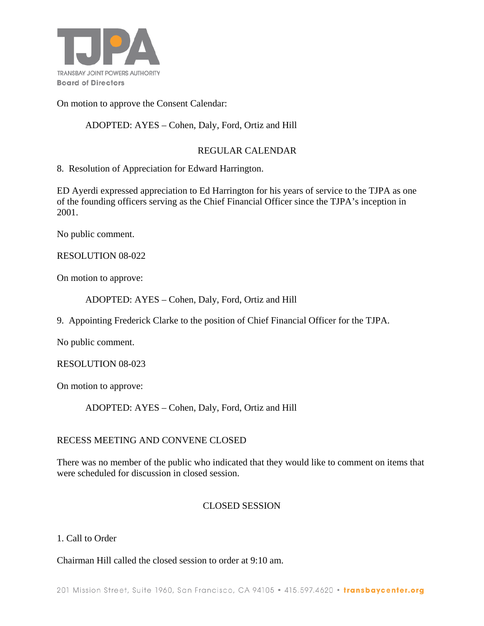

On motion to approve the Consent Calendar:

## ADOPTED: AYES – Cohen, Daly, Ford, Ortiz and Hill

## REGULAR CALENDAR

8. Resolution of Appreciation for Edward Harrington.

ED Ayerdi expressed appreciation to Ed Harrington for his years of service to the TJPA as one of the founding officers serving as the Chief Financial Officer since the TJPA's inception in 2001.

No public comment.

#### RESOLUTION 08-022

On motion to approve:

ADOPTED: AYES – Cohen, Daly, Ford, Ortiz and Hill

9. Appointing Frederick Clarke to the position of Chief Financial Officer for the TJPA.

No public comment.

#### RESOLUTION 08-023

On motion to approve:

ADOPTED: AYES – Cohen, Daly, Ford, Ortiz and Hill

#### RECESS MEETING AND CONVENE CLOSED

There was no member of the public who indicated that they would like to comment on items that were scheduled for discussion in closed session.

#### CLOSED SESSION

#### 1. Call to Order

Chairman Hill called the closed session to order at 9:10 am.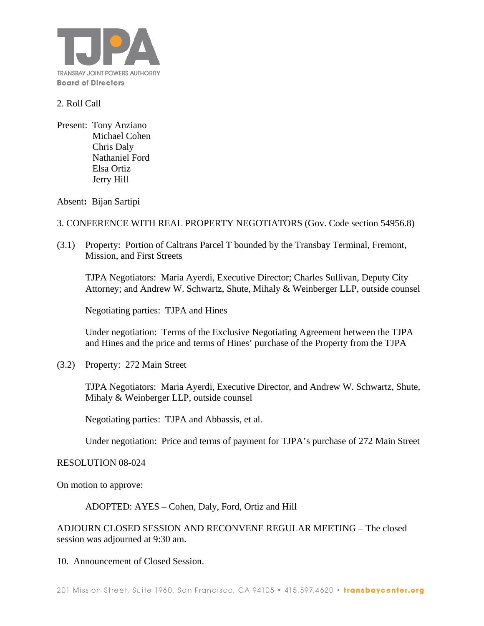

## 2. Roll Call

Present: Tony Anziano Michael Cohen Chris Daly Nathaniel Ford Elsa Ortiz Jerry Hill

Absent**:** Bijan Sartipi

#### 3. CONFERENCE WITH REAL PROPERTY NEGOTIATORS (Gov. Code section 54956.8)

(3.1) Property: Portion of Caltrans Parcel T bounded by the Transbay Terminal, Fremont, Mission, and First Streets

TJPA Negotiators: Maria Ayerdi, Executive Director; Charles Sullivan, Deputy City Attorney; and Andrew W. Schwartz, Shute, Mihaly & Weinberger LLP, outside counsel

Negotiating parties: TJPA and Hines

Under negotiation: Terms of the Exclusive Negotiating Agreement between the TJPA and Hines and the price and terms of Hines' purchase of the Property from the TJPA

(3.2) Property: 272 Main Street

TJPA Negotiators: Maria Ayerdi, Executive Director, and Andrew W. Schwartz, Shute, Mihaly & Weinberger LLP, outside counsel

Negotiating parties: TJPA and Abbassis, et al.

Under negotiation: Price and terms of payment for TJPA's purchase of 272 Main Street

#### RESOLUTION 08-024

On motion to approve:

#### ADOPTED: AYES – Cohen, Daly, Ford, Ortiz and Hill

ADJOURN CLOSED SESSION AND RECONVENE REGULAR MEETING – The closed session was adjourned at 9:30 am.

10. Announcement of Closed Session.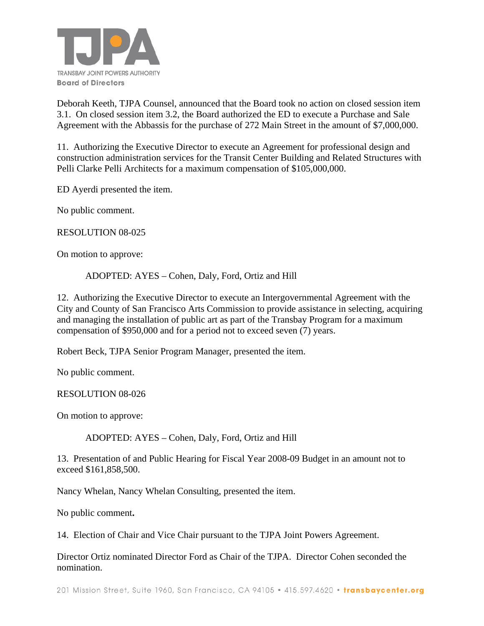

Deborah Keeth, TJPA Counsel, announced that the Board took no action on closed session item 3.1. On closed session item 3.2, the Board authorized the ED to execute a Purchase and Sale Agreement with the Abbassis for the purchase of 272 Main Street in the amount of \$7,000,000.

11. Authorizing the Executive Director to execute an Agreement for professional design and construction administration services for the Transit Center Building and Related Structures with Pelli Clarke Pelli Architects for a maximum compensation of \$105,000,000.

ED Ayerdi presented the item.

No public comment.

RESOLUTION 08-025

On motion to approve:

ADOPTED: AYES – Cohen, Daly, Ford, Ortiz and Hill

12. Authorizing the Executive Director to execute an Intergovernmental Agreement with the City and County of San Francisco Arts Commission to provide assistance in selecting, acquiring and managing the installation of public art as part of the Transbay Program for a maximum compensation of \$950,000 and for a period not to exceed seven (7) years.

Robert Beck, TJPA Senior Program Manager, presented the item.

No public comment.

RESOLUTION 08-026

On motion to approve:

ADOPTED: AYES – Cohen, Daly, Ford, Ortiz and Hill

13. Presentation of and Public Hearing for Fiscal Year 2008-09 Budget in an amount not to exceed \$161,858,500.

Nancy Whelan, Nancy Whelan Consulting, presented the item.

No public comment**.** 

14. Election of Chair and Vice Chair pursuant to the TJPA Joint Powers Agreement.

Director Ortiz nominated Director Ford as Chair of the TJPA. Director Cohen seconded the nomination.